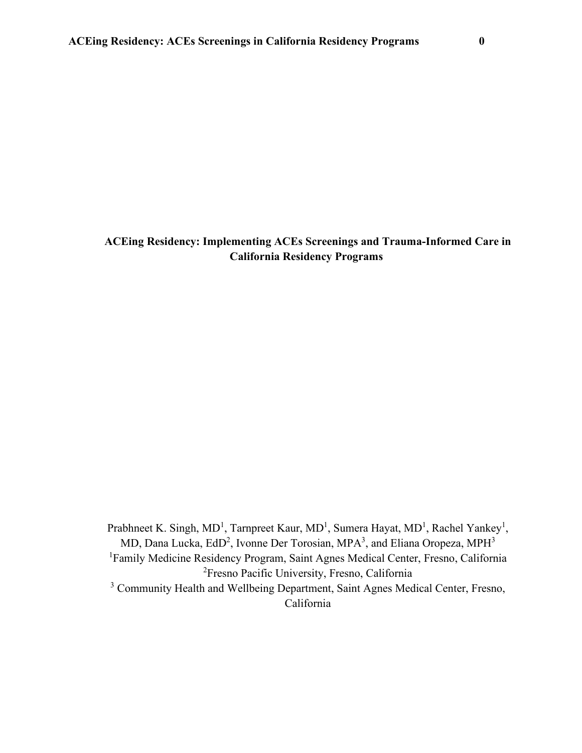# **ACEing Residency: Implementing ACEs Screenings and Trauma-Informed Care in California Residency Programs**

Prabhneet K. Singh, MD<sup>1</sup>, Tarnpreet Kaur, MD<sup>1</sup>, Sumera Hayat, MD<sup>1</sup>, Rachel Yankey<sup>1</sup>, MD, Dana Lucka, EdD<sup>2</sup>, Ivonne Der Torosian, MPA<sup>3</sup>, and Eliana Oropeza, MPH<sup>3</sup> <sup>1</sup>Family Medicine Residency Program, Saint Agnes Medical Center, Fresno, California 2 Fresno Pacific University, Fresno, California <sup>3</sup> Community Health and Wellbeing Department, Saint Agnes Medical Center, Fresno, California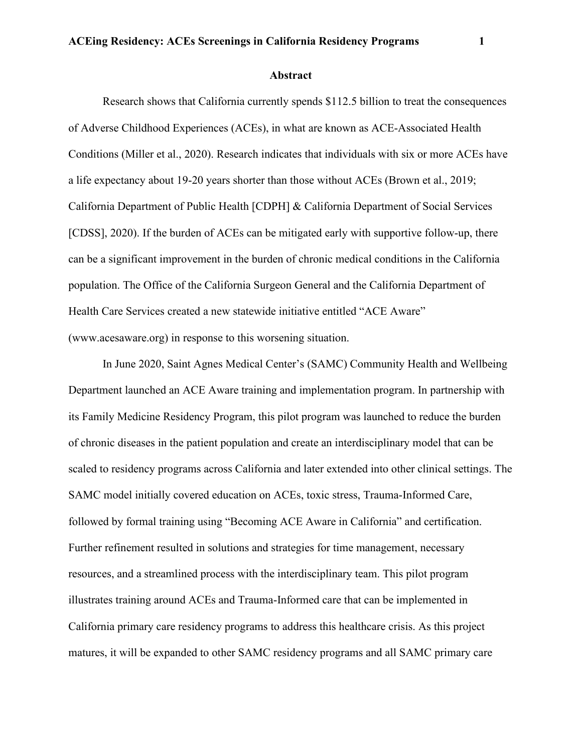#### **Abstract**

Research shows that California currently spends \$112.5 billion to treat the consequences of Adverse Childhood Experiences (ACEs), in what are known as ACE-Associated Health Conditions (Miller et al., 2020). Research indicates that individuals with six or more ACEs have a life expectancy about 19-20 years shorter than those without ACEs (Brown et al., 2019; California Department of Public Health [CDPH] & California Department of Social Services [CDSS], 2020). If the burden of ACEs can be mitigated early with supportive follow-up, there can be a significant improvement in the burden of chronic medical conditions in the California population. The Office of the California Surgeon General and the California Department of Health Care Services created a new statewide initiative entitled "ACE Aware" (www.acesaware.org) in response to this worsening situation.

In June 2020, Saint Agnes Medical Center's (SAMC) Community Health and Wellbeing Department launched an ACE Aware training and implementation program. In partnership with its Family Medicine Residency Program, this pilot program was launched to reduce the burden of chronic diseases in the patient population and create an interdisciplinary model that can be scaled to residency programs across California and later extended into other clinical settings. The SAMC model initially covered education on ACEs, toxic stress, Trauma-Informed Care, followed by formal training using "Becoming ACE Aware in California" and certification. Further refinement resulted in solutions and strategies for time management, necessary resources, and a streamlined process with the interdisciplinary team. This pilot program illustrates training around ACEs and Trauma-Informed care that can be implemented in California primary care residency programs to address this healthcare crisis. As this project matures, it will be expanded to other SAMC residency programs and all SAMC primary care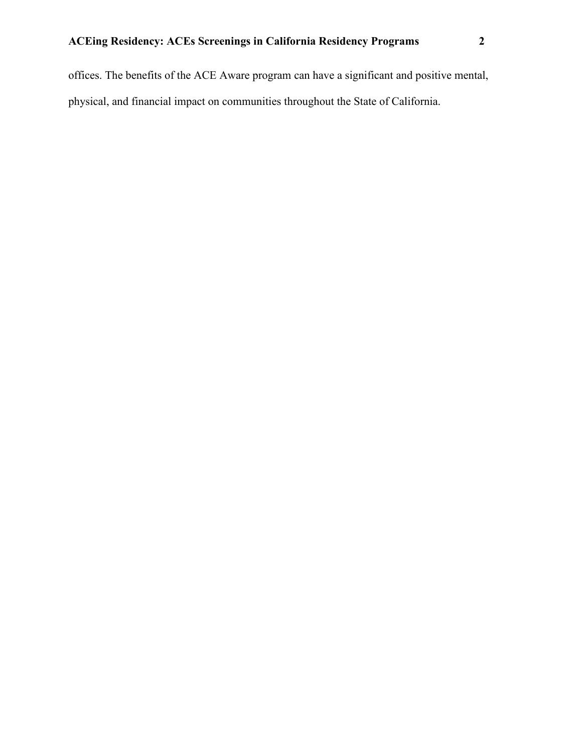offices. The benefits of the ACE Aware program can have a significant and positive mental, physical, and financial impact on communities throughout the State of California.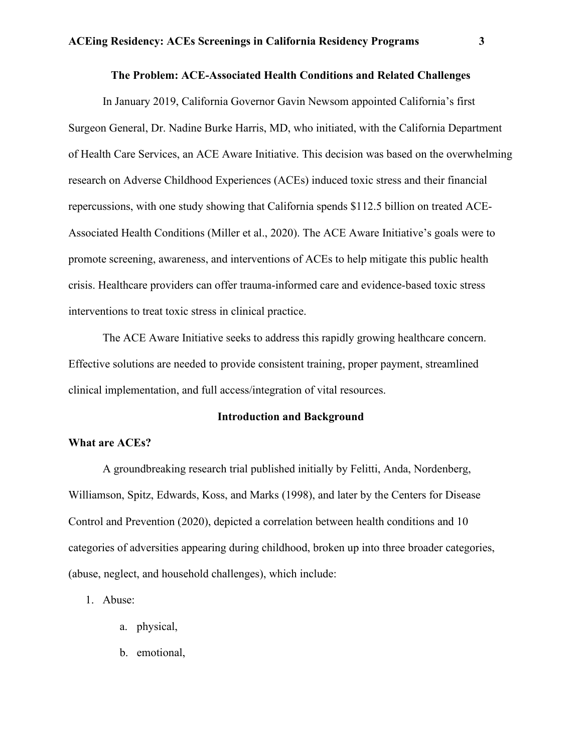# **The Problem: ACE-Associated Health Conditions and Related Challenges**

In January 2019, California Governor Gavin Newsom appointed California's first Surgeon General, Dr. Nadine Burke Harris, MD, who initiated, with the California Department of Health Care Services, an ACE Aware Initiative. This decision was based on the overwhelming research on Adverse Childhood Experiences (ACEs) induced toxic stress and their financial repercussions, with one study showing that California spends \$112.5 billion on treated ACE-Associated Health Conditions (Miller et al., 2020). The ACE Aware Initiative's goals were to promote screening, awareness, and interventions of ACEs to help mitigate this public health crisis. Healthcare providers can offer trauma-informed care and evidence-based toxic stress interventions to treat toxic stress in clinical practice.

The ACE Aware Initiative seeks to address this rapidly growing healthcare concern. Effective solutions are needed to provide consistent training, proper payment, streamlined clinical implementation, and full access/integration of vital resources.

### **Introduction and Background**

### **What are ACEs?**

A groundbreaking research trial published initially by Felitti, Anda, Nordenberg, Williamson, Spitz, Edwards, Koss, and Marks (1998), and later by the Centers for Disease Control and Prevention (2020), depicted a correlation between health conditions and 10 categories of adversities appearing during childhood, broken up into three broader categories, (abuse, neglect, and household challenges), which include:

1. Abuse:

- a. physical,
- b. emotional,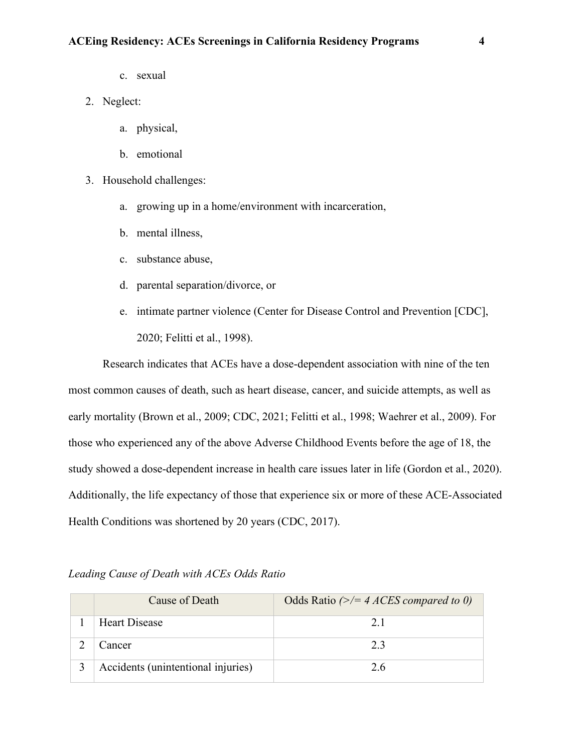- c. sexual
- 2. Neglect:
	- a. physical,
	- b. emotional
- 3. Household challenges:
	- a. growing up in a home/environment with incarceration,
	- b. mental illness,
	- c. substance abuse,
	- d. parental separation/divorce, or
	- e. intimate partner violence (Center for Disease Control and Prevention [CDC], 2020; Felitti et al., 1998).

Research indicates that ACEs have a dose-dependent association with nine of the ten most common causes of death, such as heart disease, cancer, and suicide attempts, as well as early mortality (Brown et al., 2009; CDC, 2021; Felitti et al., 1998; Waehrer et al., 2009). For those who experienced any of the above Adverse Childhood Events before the age of 18, the study showed a dose-dependent increase in health care issues later in life (Gordon et al., 2020). Additionally, the life expectancy of those that experience six or more of these ACE-Associated Health Conditions was shortened by 20 years (CDC, 2017).

| Cause of Death                     | Odds Ratio $(\geq)$ = 4 ACES compared to 0) |
|------------------------------------|---------------------------------------------|
| <b>Heart Disease</b>               | 2.1                                         |
| Cancer                             | 2.3                                         |
| Accidents (unintentional injuries) | 2.6                                         |

*Leading Cause of Death with ACEs Odds Ratio*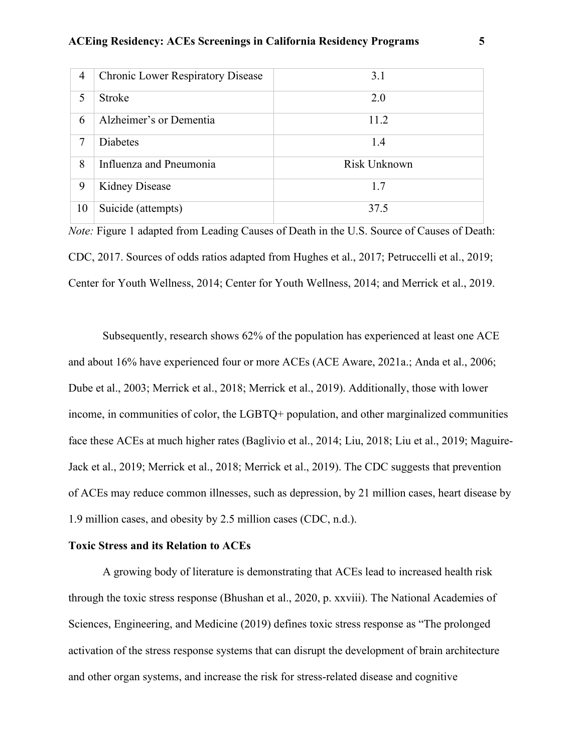| $\overline{4}$           | <b>Chronic Lower Respiratory Disease</b> | 3.1          |
|--------------------------|------------------------------------------|--------------|
| $\overline{\mathcal{L}}$ | <b>Stroke</b>                            | 2.0          |
| 6                        | Alzheimer's or Dementia                  | 11.2         |
| 7                        | <b>Diabetes</b>                          | 1.4          |
| 8                        | Influenza and Pneumonia                  | Risk Unknown |
| 9                        | <b>Kidney Disease</b>                    | 1.7          |
| 10                       | Suicide (attempts)                       | 37.5         |

*Note:* Figure 1 adapted from Leading Causes of Death in the U.S. Source of Causes of Death: CDC, 2017. Sources of odds ratios adapted from Hughes et al., 2017; Petruccelli et al., 2019; Center for Youth Wellness, 2014; Center for Youth Wellness, 2014; and Merrick et al., 2019.

Subsequently, research shows 62% of the population has experienced at least one ACE and about 16% have experienced four or more ACEs (ACE Aware, 2021a.; Anda et al., 2006; Dube et al., 2003; Merrick et al., 2018; Merrick et al., 2019). Additionally, those with lower income, in communities of color, the LGBTQ+ population, and other marginalized communities face these ACEs at much higher rates (Baglivio et al., 2014; Liu, 2018; Liu et al., 2019; Maguire-Jack et al., 2019; Merrick et al., 2018; Merrick et al., 2019). The CDC suggests that prevention of ACEs may reduce common illnesses, such as depression, by 21 million cases, heart disease by 1.9 million cases, and obesity by 2.5 million cases (CDC, n.d.).

# **Toxic Stress and its Relation to ACEs**

A growing body of literature is demonstrating that ACEs lead to increased health risk through the toxic stress response (Bhushan et al., 2020, p. xxviii). The National Academies of Sciences, Engineering, and Medicine (2019) defines toxic stress response as "The prolonged activation of the stress response systems that can disrupt the development of brain architecture and other organ systems, and increase the risk for stress-related disease and cognitive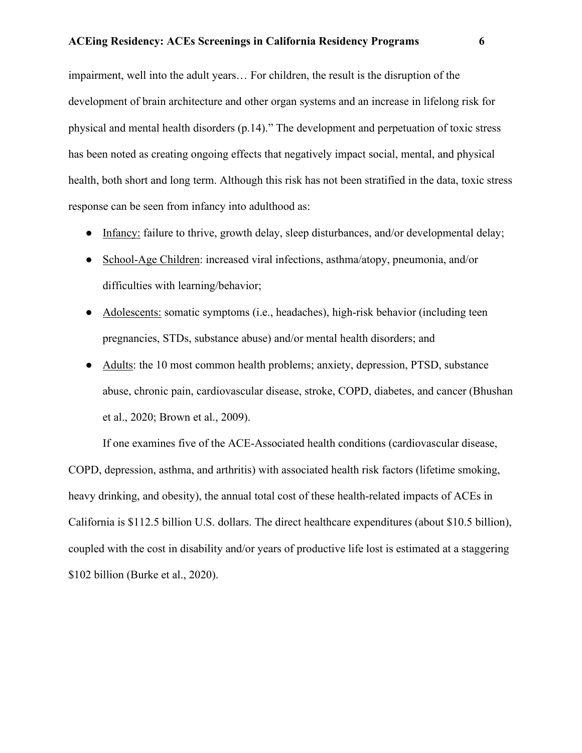impairment, well into the adult years… For children, the result is the disruption of the development of brain architecture and other organ systems and an increase in lifelong risk for physical and mental health disorders (p.14)." The development and perpetuation of toxic stress has been noted as creating ongoing effects that negatively impact social, mental, and physical health, both short and long term. Although this risk has not been stratified in the data, toxic stress response can be seen from infancy into adulthood as:

- Infancy: failure to thrive, growth delay, sleep disturbances, and/or developmental delay;
- School-Age Children: increased viral infections, asthma/atopy, pneumonia, and/or difficulties with learning/behavior;
- Adolescents: somatic symptoms (i.e., headaches), high-risk behavior (including teen pregnancies, STDs, substance abuse) and/or mental health disorders; and
- Adults: the 10 most common health problems; anxiety, depression, PTSD, substance abuse, chronic pain, cardiovascular disease, stroke, COPD, diabetes, and cancer (Bhushan et al., 2020; Brown et al., 2009).

If one examines five of the ACE-Associated health conditions (cardiovascular disease, COPD, depression, asthma, and arthritis) with associated health risk factors (lifetime smoking, heavy drinking, and obesity), the annual total cost of these health-related impacts of ACEs in California is \$112.5 billion U.S. dollars. The direct healthcare expenditures (about \$10.5 billion), coupled with the cost in disability and/or years of productive life lost is estimated at a staggering \$102 billion (Burke et al., 2020).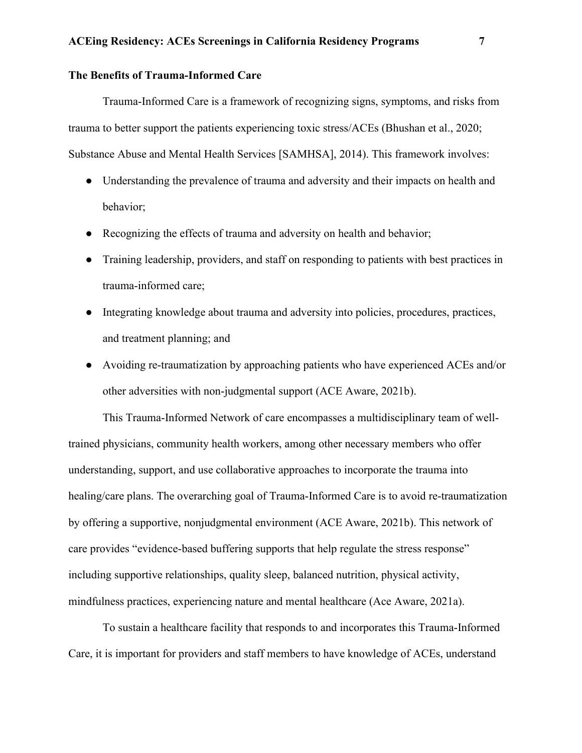# **The Benefits of Trauma-Informed Care**

Trauma-Informed Care is a framework of recognizing signs, symptoms, and risks from trauma to better support the patients experiencing toxic stress/ACEs (Bhushan et al., 2020; Substance Abuse and Mental Health Services [SAMHSA], 2014). This framework involves:

- Understanding the prevalence of trauma and adversity and their impacts on health and behavior;
- Recognizing the effects of trauma and adversity on health and behavior;
- Training leadership, providers, and staff on responding to patients with best practices in trauma-informed care;
- Integrating knowledge about trauma and adversity into policies, procedures, practices, and treatment planning; and
- Avoiding re-traumatization by approaching patients who have experienced ACEs and/or other adversities with non-judgmental support (ACE Aware, 2021b).

This Trauma-Informed Network of care encompasses a multidisciplinary team of welltrained physicians, community health workers, among other necessary members who offer understanding, support, and use collaborative approaches to incorporate the trauma into healing/care plans. The overarching goal of Trauma-Informed Care is to avoid re-traumatization by offering a supportive, nonjudgmental environment (ACE Aware, 2021b). This network of care provides "evidence-based buffering supports that help regulate the stress response" including supportive relationships, quality sleep, balanced nutrition, physical activity, mindfulness practices, experiencing nature and mental healthcare (Ace Aware, 2021a).

To sustain a healthcare facility that responds to and incorporates this Trauma-Informed Care, it is important for providers and staff members to have knowledge of ACEs, understand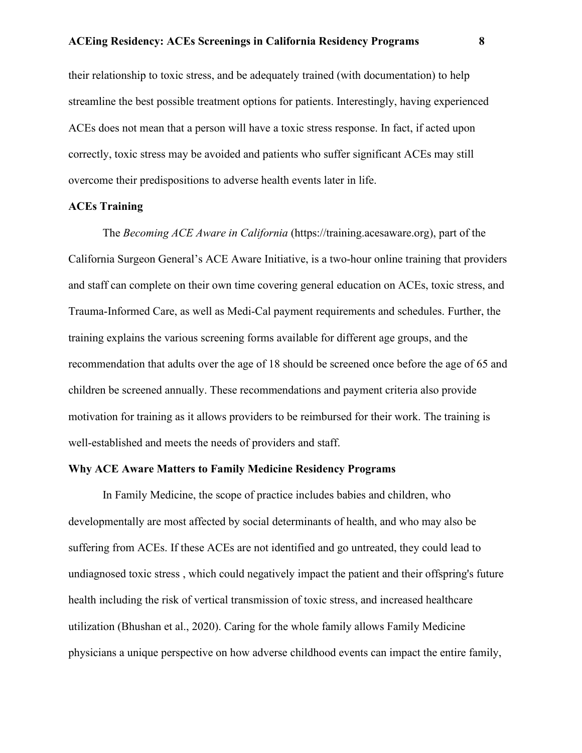their relationship to toxic stress, and be adequately trained (with documentation) to help streamline the best possible treatment options for patients. Interestingly, having experienced ACEs does not mean that a person will have a toxic stress response. In fact, if acted upon correctly, toxic stress may be avoided and patients who suffer significant ACEs may still overcome their predispositions to adverse health events later in life.

### **ACEs Training**

The *Becoming ACE Aware in California* (https://training.acesaware.org), part of the California Surgeon General's ACE Aware Initiative, is a two-hour online training that providers and staff can complete on their own time covering general education on ACEs, toxic stress, and Trauma-Informed Care, as well as Medi-Cal payment requirements and schedules. Further, the training explains the various screening forms available for different age groups, and the recommendation that adults over the age of 18 should be screened once before the age of 65 and children be screened annually. These recommendations and payment criteria also provide motivation for training as it allows providers to be reimbursed for their work. The training is well-established and meets the needs of providers and staff.

# **Why ACE Aware Matters to Family Medicine Residency Programs**

In Family Medicine, the scope of practice includes babies and children, who developmentally are most affected by social determinants of health, and who may also be suffering from ACEs. If these ACEs are not identified and go untreated, they could lead to undiagnosed toxic stress , which could negatively impact the patient and their offspring's future health including the risk of vertical transmission of toxic stress, and increased healthcare utilization (Bhushan et al., 2020). Caring for the whole family allows Family Medicine physicians a unique perspective on how adverse childhood events can impact the entire family,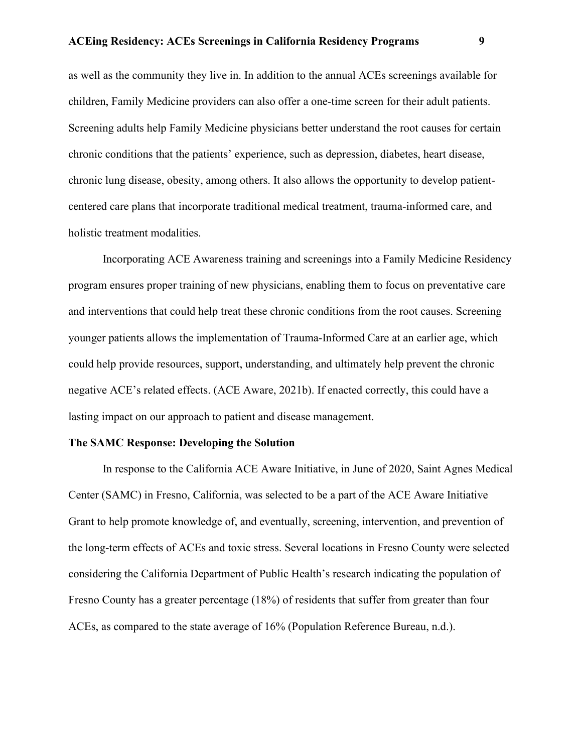as well as the community they live in. In addition to the annual ACEs screenings available for children, Family Medicine providers can also offer a one-time screen for their adult patients. Screening adults help Family Medicine physicians better understand the root causes for certain chronic conditions that the patients' experience, such as depression, diabetes, heart disease, chronic lung disease, obesity, among others. It also allows the opportunity to develop patientcentered care plans that incorporate traditional medical treatment, trauma-informed care, and holistic treatment modalities.

Incorporating ACE Awareness training and screenings into a Family Medicine Residency program ensures proper training of new physicians, enabling them to focus on preventative care and interventions that could help treat these chronic conditions from the root causes. Screening younger patients allows the implementation of Trauma-Informed Care at an earlier age, which could help provide resources, support, understanding, and ultimately help prevent the chronic negative ACE's related effects. (ACE Aware, 2021b). If enacted correctly, this could have a lasting impact on our approach to patient and disease management.

### **The SAMC Response: Developing the Solution**

In response to the California ACE Aware Initiative, in June of 2020, Saint Agnes Medical Center (SAMC) in Fresno, California, was selected to be a part of the ACE Aware Initiative Grant to help promote knowledge of, and eventually, screening, intervention, and prevention of the long-term effects of ACEs and toxic stress. Several locations in Fresno County were selected considering the California Department of Public Health's research indicating the population of Fresno County has a greater percentage (18%) of residents that suffer from greater than four ACEs, as compared to the state average of 16% (Population Reference Bureau, n.d.).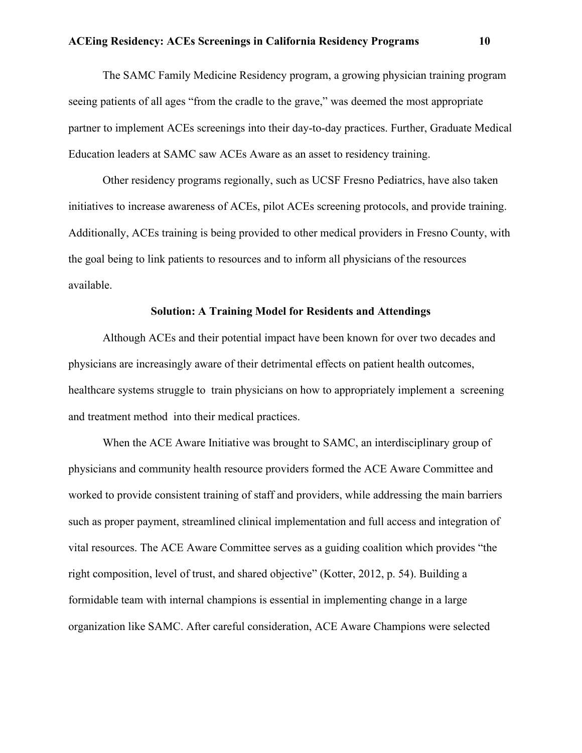The SAMC Family Medicine Residency program, a growing physician training program seeing patients of all ages "from the cradle to the grave," was deemed the most appropriate partner to implement ACEs screenings into their day-to-day practices. Further, Graduate Medical Education leaders at SAMC saw ACEs Aware as an asset to residency training.

Other residency programs regionally, such as UCSF Fresno Pediatrics, have also taken initiatives to increase awareness of ACEs, pilot ACEs screening protocols, and provide training. Additionally, ACEs training is being provided to other medical providers in Fresno County, with the goal being to link patients to resources and to inform all physicians of the resources available.

### **Solution: A Training Model for Residents and Attendings**

Although ACEs and their potential impact have been known for over two decades and physicians are increasingly aware of their detrimental effects on patient health outcomes, healthcare systems struggle to train physicians on how to appropriately implement a screening and treatment method into their medical practices.

When the ACE Aware Initiative was brought to SAMC, an interdisciplinary group of physicians and community health resource providers formed the ACE Aware Committee and worked to provide consistent training of staff and providers, while addressing the main barriers such as proper payment, streamlined clinical implementation and full access and integration of vital resources. The ACE Aware Committee serves as a guiding coalition which provides "the right composition, level of trust, and shared objective" (Kotter, 2012, p. 54). Building a formidable team with internal champions is essential in implementing change in a large organization like SAMC. After careful consideration, ACE Aware Champions were selected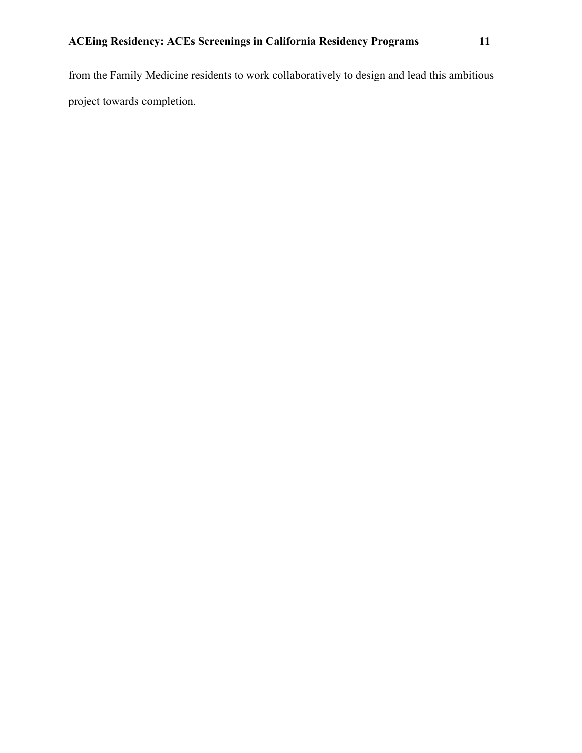from the Family Medicine residents to work collaboratively to design and lead this ambitious project towards completion.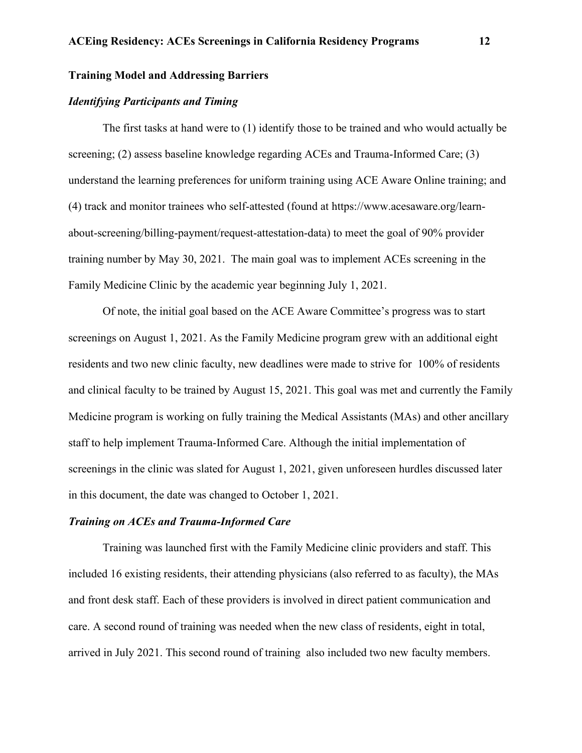# **Training Model and Addressing Barriers**

# *Identifying Participants and Timing*

The first tasks at hand were to (1) identify those to be trained and who would actually be screening; (2) assess baseline knowledge regarding ACEs and Trauma-Informed Care; (3) understand the learning preferences for uniform training using ACE Aware Online training; and (4) track and monitor trainees who self-attested (found at https://www.acesaware.org/learnabout-screening/billing-payment/request-attestation-data) to meet the goal of 90% provider training number by May 30, 2021. The main goal was to implement ACEs screening in the Family Medicine Clinic by the academic year beginning July 1, 2021.

Of note, the initial goal based on the ACE Aware Committee's progress was to start screenings on August 1, 2021. As the Family Medicine program grew with an additional eight residents and two new clinic faculty, new deadlines were made to strive for 100% of residents and clinical faculty to be trained by August 15, 2021. This goal was met and currently the Family Medicine program is working on fully training the Medical Assistants (MAs) and other ancillary staff to help implement Trauma-Informed Care. Although the initial implementation of screenings in the clinic was slated for August 1, 2021, given unforeseen hurdles discussed later in this document, the date was changed to October 1, 2021.

# *Training on ACEs and Trauma-Informed Care*

Training was launched first with the Family Medicine clinic providers and staff. This included 16 existing residents, their attending physicians (also referred to as faculty), the MAs and front desk staff. Each of these providers is involved in direct patient communication and care. A second round of training was needed when the new class of residents, eight in total, arrived in July 2021. This second round of training also included two new faculty members.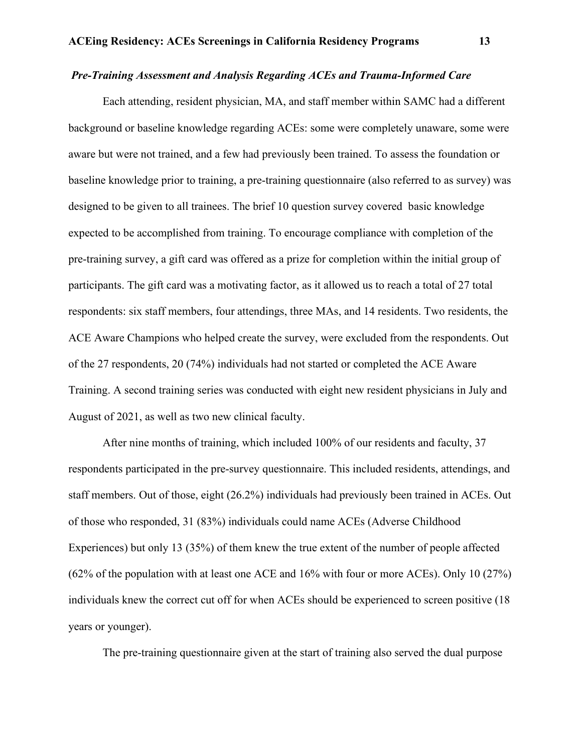# *Pre-Training Assessment and Analysis Regarding ACEs and Trauma-Informed Care*

Each attending, resident physician, MA, and staff member within SAMC had a different background or baseline knowledge regarding ACEs: some were completely unaware, some were aware but were not trained, and a few had previously been trained. To assess the foundation or baseline knowledge prior to training, a pre-training questionnaire (also referred to as survey) was designed to be given to all trainees. The brief 10 question survey covered basic knowledge expected to be accomplished from training. To encourage compliance with completion of the pre-training survey, a gift card was offered as a prize for completion within the initial group of participants. The gift card was a motivating factor, as it allowed us to reach a total of 27 total respondents: six staff members, four attendings, three MAs, and 14 residents. Two residents, the ACE Aware Champions who helped create the survey, were excluded from the respondents. Out of the 27 respondents, 20 (74%) individuals had not started or completed the ACE Aware Training. A second training series was conducted with eight new resident physicians in July and August of 2021, as well as two new clinical faculty.

After nine months of training, which included 100% of our residents and faculty, 37 respondents participated in the pre-survey questionnaire. This included residents, attendings, and staff members. Out of those, eight (26.2%) individuals had previously been trained in ACEs. Out of those who responded, 31 (83%) individuals could name ACEs (Adverse Childhood Experiences) but only 13 (35%) of them knew the true extent of the number of people affected (62% of the population with at least one ACE and 16% with four or more ACEs). Only 10 (27%) individuals knew the correct cut off for when ACEs should be experienced to screen positive (18 years or younger).

The pre-training questionnaire given at the start of training also served the dual purpose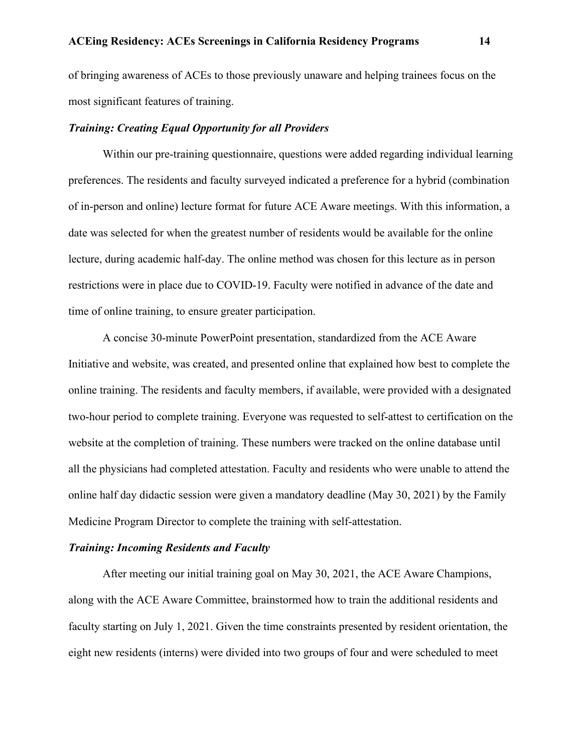of bringing awareness of ACEs to those previously unaware and helping trainees focus on the most significant features of training.

# *Training: Creating Equal Opportunity for all Providers*

Within our pre-training questionnaire, questions were added regarding individual learning preferences. The residents and faculty surveyed indicated a preference for a hybrid (combination of in-person and online) lecture format for future ACE Aware meetings. With this information, a date was selected for when the greatest number of residents would be available for the online lecture, during academic half-day. The online method was chosen for this lecture as in person restrictions were in place due to COVID-19. Faculty were notified in advance of the date and time of online training, to ensure greater participation.

A concise 30-minute PowerPoint presentation, standardized from the ACE Aware Initiative and website, was created, and presented online that explained how best to complete the online training. The residents and faculty members, if available, were provided with a designated two-hour period to complete training. Everyone was requested to self-attest to certification on the website at the completion of training. These numbers were tracked on the online database until all the physicians had completed attestation. Faculty and residents who were unable to attend the online half day didactic session were given a mandatory deadline (May 30, 2021) by the Family Medicine Program Director to complete the training with self-attestation.

### *Training: Incoming Residents and Faculty*

After meeting our initial training goal on May 30, 2021, the ACE Aware Champions, along with the ACE Aware Committee, brainstormed how to train the additional residents and faculty starting on July 1, 2021. Given the time constraints presented by resident orientation, the eight new residents (interns) were divided into two groups of four and were scheduled to meet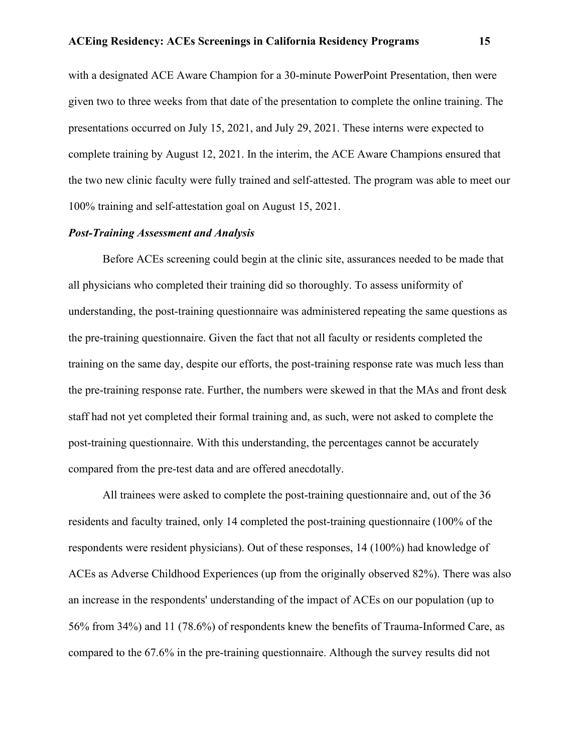with a designated ACE Aware Champion for a 30-minute PowerPoint Presentation, then were given two to three weeks from that date of the presentation to complete the online training. The presentations occurred on July 15, 2021, and July 29, 2021. These interns were expected to complete training by August 12, 2021. In the interim, the ACE Aware Champions ensured that the two new clinic faculty were fully trained and self-attested. The program was able to meet our 100% training and self-attestation goal on August 15, 2021.

# *Post-Training Assessment and Analysis*

Before ACEs screening could begin at the clinic site, assurances needed to be made that all physicians who completed their training did so thoroughly. To assess uniformity of understanding, the post-training questionnaire was administered repeating the same questions as the pre-training questionnaire. Given the fact that not all faculty or residents completed the training on the same day, despite our efforts, the post-training response rate was much less than the pre-training response rate. Further, the numbers were skewed in that the MAs and front desk staff had not yet completed their formal training and, as such, were not asked to complete the post-training questionnaire. With this understanding, the percentages cannot be accurately compared from the pre-test data and are offered anecdotally.

All trainees were asked to complete the post-training questionnaire and, out of the 36 residents and faculty trained, only 14 completed the post-training questionnaire (100% of the respondents were resident physicians). Out of these responses, 14 (100%) had knowledge of ACEs as Adverse Childhood Experiences (up from the originally observed 82%). There was also an increase in the respondents' understanding of the impact of ACEs on our population (up to 56% from 34%) and 11 (78.6%) of respondents knew the benefits of Trauma-Informed Care, as compared to the 67.6% in the pre-training questionnaire. Although the survey results did not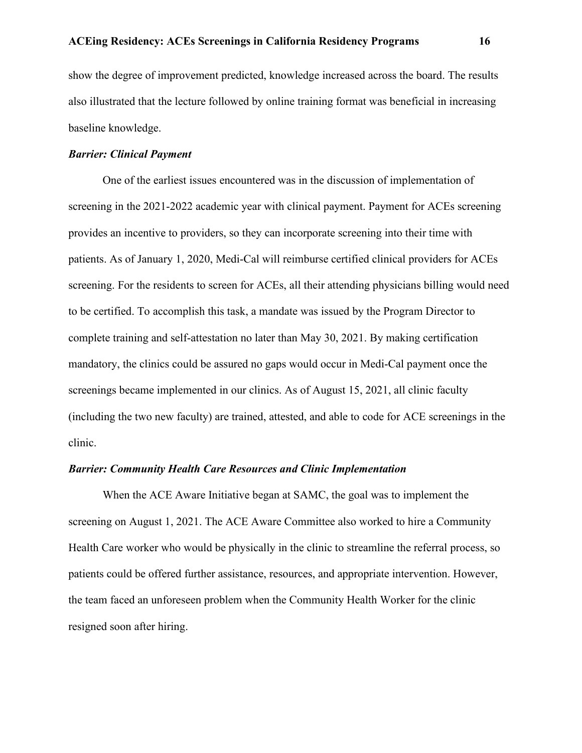show the degree of improvement predicted, knowledge increased across the board. The results also illustrated that the lecture followed by online training format was beneficial in increasing baseline knowledge.

# *Barrier: Clinical Payment*

One of the earliest issues encountered was in the discussion of implementation of screening in the 2021-2022 academic year with clinical payment. Payment for ACEs screening provides an incentive to providers, so they can incorporate screening into their time with patients. As of January 1, 2020, Medi-Cal will reimburse certified clinical providers for ACEs screening. For the residents to screen for ACEs, all their attending physicians billing would need to be certified. To accomplish this task, a mandate was issued by the Program Director to complete training and self-attestation no later than May 30, 2021. By making certification mandatory, the clinics could be assured no gaps would occur in Medi-Cal payment once the screenings became implemented in our clinics. As of August 15, 2021, all clinic faculty (including the two new faculty) are trained, attested, and able to code for ACE screenings in the clinic.

# *Barrier: Community Health Care Resources and Clinic Implementation*

When the ACE Aware Initiative began at SAMC, the goal was to implement the screening on August 1, 2021. The ACE Aware Committee also worked to hire a Community Health Care worker who would be physically in the clinic to streamline the referral process, so patients could be offered further assistance, resources, and appropriate intervention. However, the team faced an unforeseen problem when the Community Health Worker for the clinic resigned soon after hiring.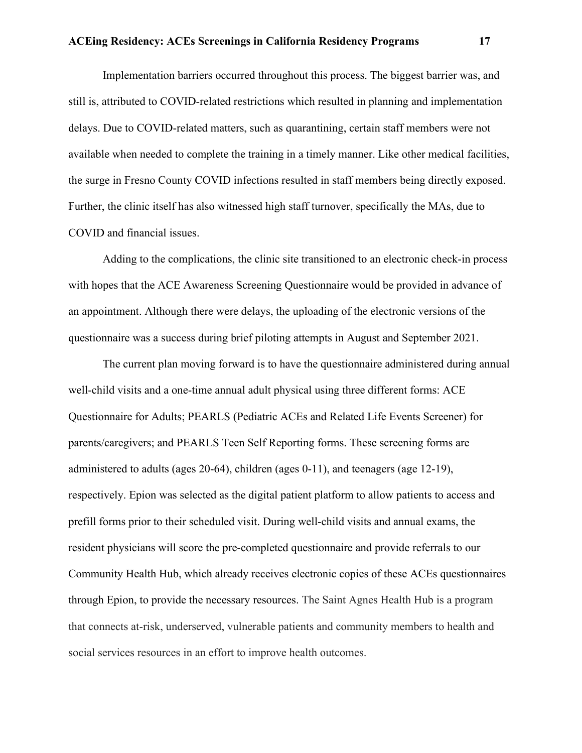Implementation barriers occurred throughout this process. The biggest barrier was, and still is, attributed to COVID-related restrictions which resulted in planning and implementation delays. Due to COVID-related matters, such as quarantining, certain staff members were not available when needed to complete the training in a timely manner. Like other medical facilities, the surge in Fresno County COVID infections resulted in staff members being directly exposed. Further, the clinic itself has also witnessed high staff turnover, specifically the MAs, due to COVID and financial issues.

Adding to the complications, the clinic site transitioned to an electronic check-in process with hopes that the ACE Awareness Screening Questionnaire would be provided in advance of an appointment. Although there were delays, the uploading of the electronic versions of the questionnaire was a success during brief piloting attempts in August and September 2021.

The current plan moving forward is to have the questionnaire administered during annual well-child visits and a one-time annual adult physical using three different forms: ACE Questionnaire for Adults; PEARLS (Pediatric ACEs and Related Life Events Screener) for parents/caregivers; and PEARLS Teen Self Reporting forms. These screening forms are administered to adults (ages 20-64), children (ages 0-11), and teenagers (age 12-19), respectively. Epion was selected as the digital patient platform to allow patients to access and prefill forms prior to their scheduled visit. During well-child visits and annual exams, the resident physicians will score the pre-completed questionnaire and provide referrals to our Community Health Hub, which already receives electronic copies of these ACEs questionnaires through Epion, to provide the necessary resources. The Saint Agnes Health Hub is a program that connects at-risk, underserved, vulnerable patients and community members to health and social services resources in an effort to improve health outcomes.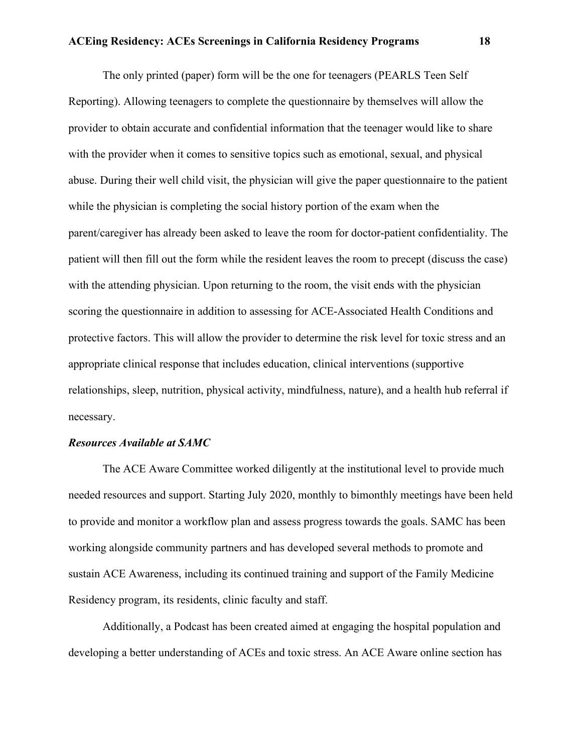The only printed (paper) form will be the one for teenagers (PEARLS Teen Self Reporting). Allowing teenagers to complete the questionnaire by themselves will allow the provider to obtain accurate and confidential information that the teenager would like to share with the provider when it comes to sensitive topics such as emotional, sexual, and physical abuse. During their well child visit, the physician will give the paper questionnaire to the patient while the physician is completing the social history portion of the exam when the parent/caregiver has already been asked to leave the room for doctor-patient confidentiality. The patient will then fill out the form while the resident leaves the room to precept (discuss the case) with the attending physician. Upon returning to the room, the visit ends with the physician scoring the questionnaire in addition to assessing for ACE-Associated Health Conditions and protective factors. This will allow the provider to determine the risk level for toxic stress and an appropriate clinical response that includes education, clinical interventions (supportive relationships, sleep, nutrition, physical activity, mindfulness, nature), and a health hub referral if necessary.

#### *Resources Available at SAMC*

The ACE Aware Committee worked diligently at the institutional level to provide much needed resources and support. Starting July 2020, monthly to bimonthly meetings have been held to provide and monitor a workflow plan and assess progress towards the goals. SAMC has been working alongside community partners and has developed several methods to promote and sustain ACE Awareness, including its continued training and support of the Family Medicine Residency program, its residents, clinic faculty and staff.

Additionally, a Podcast has been created aimed at engaging the hospital population and developing a better understanding of ACEs and toxic stress. An ACE Aware online section has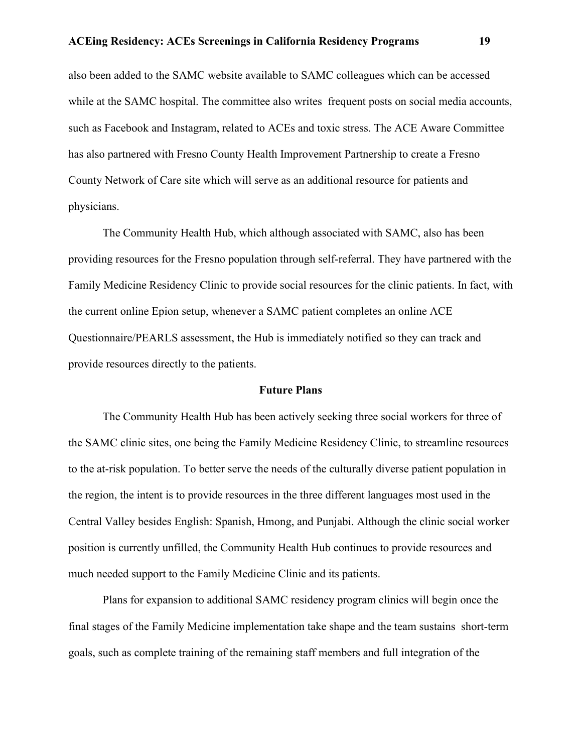also been added to the SAMC website available to SAMC colleagues which can be accessed while at the SAMC hospital. The committee also writes frequent posts on social media accounts, such as Facebook and Instagram, related to ACEs and toxic stress. The ACE Aware Committee has also partnered with Fresno County Health Improvement Partnership to create a Fresno County Network of Care site which will serve as an additional resource for patients and physicians.

The Community Health Hub, which although associated with SAMC, also has been providing resources for the Fresno population through self-referral. They have partnered with the Family Medicine Residency Clinic to provide social resources for the clinic patients. In fact, with the current online Epion setup, whenever a SAMC patient completes an online ACE Questionnaire/PEARLS assessment, the Hub is immediately notified so they can track and provide resources directly to the patients.

#### **Future Plans**

The Community Health Hub has been actively seeking three social workers for three of the SAMC clinic sites, one being the Family Medicine Residency Clinic, to streamline resources to the at-risk population. To better serve the needs of the culturally diverse patient population in the region, the intent is to provide resources in the three different languages most used in the Central Valley besides English: Spanish, Hmong, and Punjabi. Although the clinic social worker position is currently unfilled, the Community Health Hub continues to provide resources and much needed support to the Family Medicine Clinic and its patients.

Plans for expansion to additional SAMC residency program clinics will begin once the final stages of the Family Medicine implementation take shape and the team sustains short-term goals, such as complete training of the remaining staff members and full integration of the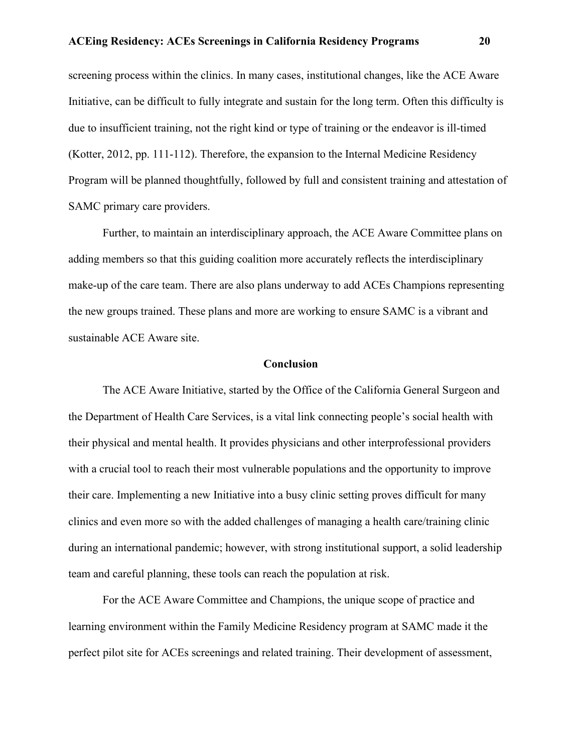screening process within the clinics. In many cases, institutional changes, like the ACE Aware Initiative, can be difficult to fully integrate and sustain for the long term. Often this difficulty is due to insufficient training, not the right kind or type of training or the endeavor is ill-timed (Kotter, 2012, pp. 111-112). Therefore, the expansion to the Internal Medicine Residency Program will be planned thoughtfully, followed by full and consistent training and attestation of SAMC primary care providers.

Further, to maintain an interdisciplinary approach, the ACE Aware Committee plans on adding members so that this guiding coalition more accurately reflects the interdisciplinary make-up of the care team. There are also plans underway to add ACEs Champions representing the new groups trained. These plans and more are working to ensure SAMC is a vibrant and sustainable ACE Aware site.

### **Conclusion**

The ACE Aware Initiative, started by the Office of the California General Surgeon and the Department of Health Care Services, is a vital link connecting people's social health with their physical and mental health. It provides physicians and other interprofessional providers with a crucial tool to reach their most vulnerable populations and the opportunity to improve their care. Implementing a new Initiative into a busy clinic setting proves difficult for many clinics and even more so with the added challenges of managing a health care/training clinic during an international pandemic; however, with strong institutional support, a solid leadership team and careful planning, these tools can reach the population at risk.

For the ACE Aware Committee and Champions, the unique scope of practice and learning environment within the Family Medicine Residency program at SAMC made it the perfect pilot site for ACEs screenings and related training. Their development of assessment,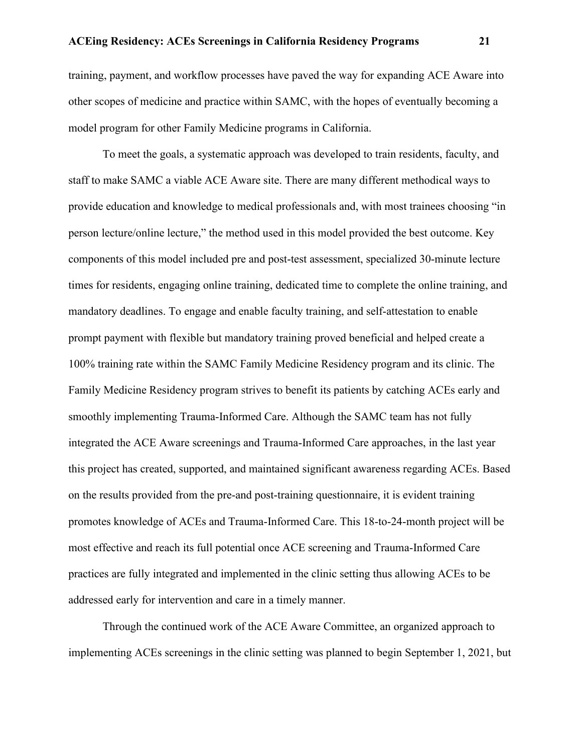training, payment, and workflow processes have paved the way for expanding ACE Aware into other scopes of medicine and practice within SAMC, with the hopes of eventually becoming a model program for other Family Medicine programs in California.

To meet the goals, a systematic approach was developed to train residents, faculty, and staff to make SAMC a viable ACE Aware site. There are many different methodical ways to provide education and knowledge to medical professionals and, with most trainees choosing "in person lecture/online lecture," the method used in this model provided the best outcome. Key components of this model included pre and post-test assessment, specialized 30-minute lecture times for residents, engaging online training, dedicated time to complete the online training, and mandatory deadlines. To engage and enable faculty training, and self-attestation to enable prompt payment with flexible but mandatory training proved beneficial and helped create a 100% training rate within the SAMC Family Medicine Residency program and its clinic. The Family Medicine Residency program strives to benefit its patients by catching ACEs early and smoothly implementing Trauma-Informed Care. Although the SAMC team has not fully integrated the ACE Aware screenings and Trauma-Informed Care approaches, in the last year this project has created, supported, and maintained significant awareness regarding ACEs. Based on the results provided from the pre-and post-training questionnaire, it is evident training promotes knowledge of ACEs and Trauma-Informed Care. This 18-to-24-month project will be most effective and reach its full potential once ACE screening and Trauma-Informed Care practices are fully integrated and implemented in the clinic setting thus allowing ACEs to be addressed early for intervention and care in a timely manner.

Through the continued work of the ACE Aware Committee, an organized approach to implementing ACEs screenings in the clinic setting was planned to begin September 1, 2021, but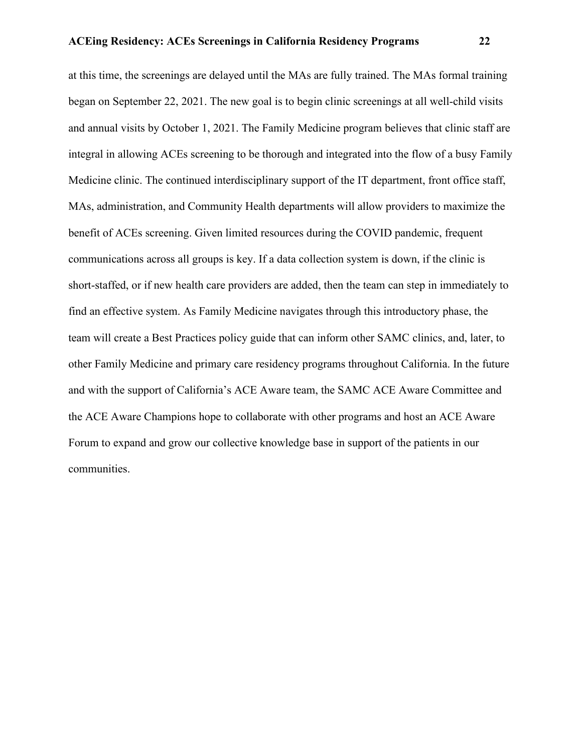at this time, the screenings are delayed until the MAs are fully trained. The MAs formal training began on September 22, 2021. The new goal is to begin clinic screenings at all well-child visits and annual visits by October 1, 2021. The Family Medicine program believes that clinic staff are integral in allowing ACEs screening to be thorough and integrated into the flow of a busy Family Medicine clinic. The continued interdisciplinary support of the IT department, front office staff, MAs, administration, and Community Health departments will allow providers to maximize the benefit of ACEs screening. Given limited resources during the COVID pandemic, frequent communications across all groups is key. If a data collection system is down, if the clinic is short-staffed, or if new health care providers are added, then the team can step in immediately to find an effective system. As Family Medicine navigates through this introductory phase, the team will create a Best Practices policy guide that can inform other SAMC clinics, and, later, to other Family Medicine and primary care residency programs throughout California. In the future and with the support of California's ACE Aware team, the SAMC ACE Aware Committee and the ACE Aware Champions hope to collaborate with other programs and host an ACE Aware Forum to expand and grow our collective knowledge base in support of the patients in our communities.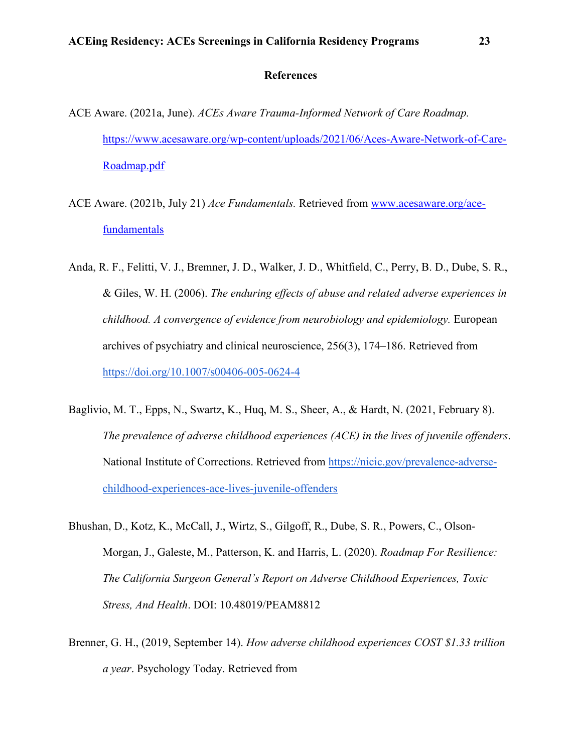#### **References**

- ACE Aware. (2021a, June). *ACEs Aware Trauma-Informed Network of Care Roadmap.*  [https://www.acesaware.org/wp-content/uploads/2021/06/Aces-Aware-Network-of-Care-](https://www.acesaware.org/wp-content/uploads/2021/06/Aces-Aware-Network-of-Care-Roadmap.pdf)[Roadmap.pdf](https://www.acesaware.org/wp-content/uploads/2021/06/Aces-Aware-Network-of-Care-Roadmap.pdf)
- ACE Aware. (2021b, July 21) *Ace Fundamentals.* Retrieved from [www.acesaware.org/ace](http://www.acesaware.org/ace-fundamentals)[fundamentals](http://www.acesaware.org/ace-fundamentals)
- Anda, R. F., Felitti, V. J., Bremner, J. D., Walker, J. D., Whitfield, C., Perry, B. D., Dube, S. R., & Giles, W. H. (2006). *The enduring effects of abuse and related adverse experiences in childhood. A convergence of evidence from neurobiology and epidemiology.* European archives of psychiatry and clinical neuroscience, 256(3), 174–186. Retrieved from [https://doi.org/10.1007/s00406-005-0624-4](https://doi.org/10.1007/s00406-005-0624-4.)
- Baglivio, M. T., Epps, N., Swartz, K., Huq, M. S., Sheer, A., & Hardt, N. (2021, February 8). *The prevalence of adverse childhood experiences (ACE) in the lives of juvenile offenders*. National Institute of Corrections. Retrieved from [https://nicic.gov/prevalence-adverse](https://nicic.gov/prevalence-adverse-childhood-experiences-ace-lives-juvenile-offenders.)[childhood-experiences-ace-lives-juvenile-offenders](https://nicic.gov/prevalence-adverse-childhood-experiences-ace-lives-juvenile-offenders.)
- Bhushan, D., Kotz, K., McCall, J., Wirtz, S., Gilgoff, R., Dube, S. R., Powers, C., Olson-Morgan, J., Galeste, M., Patterson, K. and Harris, L. (2020). *Roadmap For Resilience: The California Surgeon General's Report on Adverse Childhood Experiences, Toxic Stress, And Health*. DOI: 10.48019/PEAM8812
- Brenner, G. H., (2019, September 14). *How adverse childhood experiences COST \$1.33 trillion a year*. Psychology Today. Retrieved from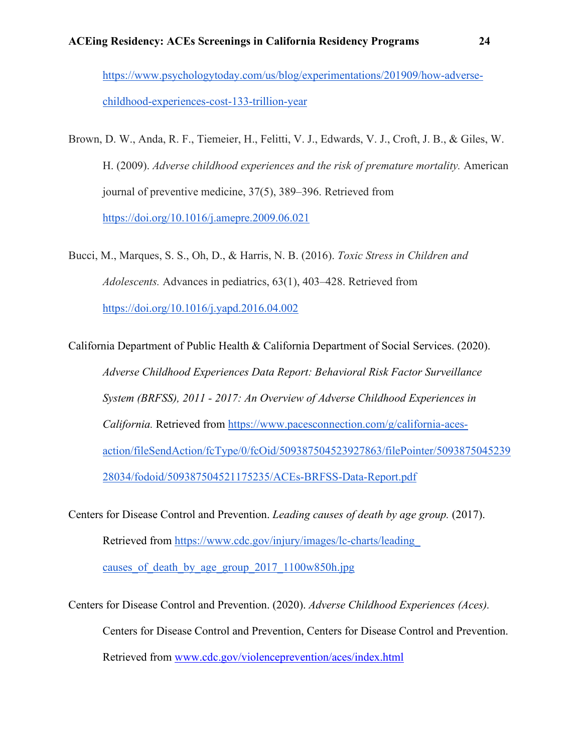[https://www.psychologytoday.com/us/blog/experimentations/201909/how-adverse](https://www.psychologytoday.com/us/blog/experimentations/201909/how-adverse-childhood-experiences-cost-133-trillion-year.)[childhood-experiences-cost-133-trillion-year](https://www.psychologytoday.com/us/blog/experimentations/201909/how-adverse-childhood-experiences-cost-133-trillion-year.)

- Brown, D. W., Anda, R. F., Tiemeier, H., Felitti, V. J., Edwards, V. J., Croft, J. B., & Giles, W. H. (2009). *Adverse childhood experiences and the risk of premature mortality.* American journal of preventive medicine, 37(5), 389–396. Retrieved from [https://doi.org/10.1016/j.amepre.2009.06.021](https://doi.org/10.1016/j.amepre.2009.06.021.)
- Bucci, M., Marques, S. S., Oh, D., & Harris, N. B. (2016). *Toxic Stress in Children and Adolescents.* Advances in pediatrics, 63(1), 403–428. Retrieved from <https://doi.org/10.1016/j.yapd.2016.04.002>

California Department of Public Health & California Department of Social Services. (2020). *Adverse Childhood Experiences Data Report: Behavioral Risk Factor Surveillance System (BRFSS), 2011 - 2017: An Overview of Adverse Childhood Experiences in California.* Retrieved from [https://www.pacesconnection.com/g/california-aces](https://www.pacesconnection.com/g/california-aces-action/fileSendAction/fcType/0/fcOid/509387504523927863/filePointer/509387504523928034/fodoid/509387504521175235/ACEs-BRFSS-Data-Report.pdf.)[action/fileSendAction/fcType/0/fcOid/509387504523927863/filePointer/5093875045239](https://www.pacesconnection.com/g/california-aces-action/fileSendAction/fcType/0/fcOid/509387504523927863/filePointer/509387504523928034/fodoid/509387504521175235/ACEs-BRFSS-Data-Report.pdf.) [28034/fodoid/509387504521175235/ACEs-BRFSS-Data-Report.pdf](https://www.pacesconnection.com/g/california-aces-action/fileSendAction/fcType/0/fcOid/509387504523927863/filePointer/509387504523928034/fodoid/509387504521175235/ACEs-BRFSS-Data-Report.pdf.)

Centers for Disease Control and Prevention. *Leading causes of death by age group.* (2017). Retrieved from [https://www.cdc.gov/injury/images/lc-charts/leading\\_](https://www.cdc.gov/injury/images/lc-charts/leading_)  causes of death by age group  $2017$   $1100w850h.jpg$ 

Centers for Disease Control and Prevention. (2020). *Adverse Childhood Experiences (Aces).* Centers for Disease Control and Prevention, Centers for Disease Control and Prevention. Retrieved from [www.cdc.gov/violenceprevention/aces/index.html](http://www.cdc.gov/violenceprevention/aces/index.html)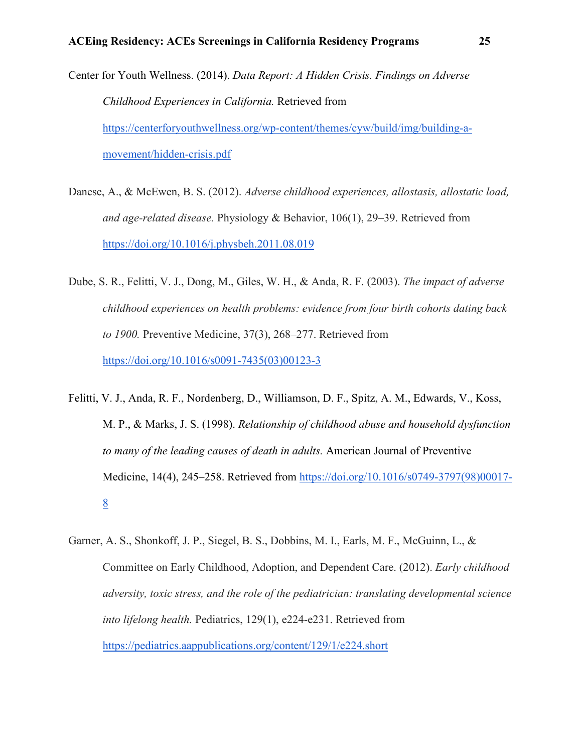Center for Youth Wellness. (2014). *Data Report: A Hidden Crisis. Findings on Adverse Childhood Experiences in California.* Retrieved from [https://centerforyouthwellness.org/wp-content/themes/cyw/build/img/building-a](https://centerforyouthwellness.org/wp-content/themes/cyw/build/img/building-a-movement/hidden-crisis.pdf)[movement/hidden-crisis.pdf](https://centerforyouthwellness.org/wp-content/themes/cyw/build/img/building-a-movement/hidden-crisis.pdf)

- Danese, A., & McEwen, B. S. (2012). *Adverse childhood experiences, allostasis, allostatic load, and age-related disease.* Physiology & Behavior, 106(1), 29–39. Retrieved from [https://doi.org/10.1016/j.physbeh.2011.08.019](https://doi.org/10.1016/j.physbeh.2011.08.019.)
- Dube, S. R., Felitti, V. J., Dong, M., Giles, W. H., & Anda, R. F. (2003). *The impact of adverse childhood experiences on health problems: evidence from four birth cohorts dating back to 1900.* Preventive Medicine, 37(3), 268–277. Retrieved from [https://doi.org/10.1016/s0091-7435\(03\)00123-3](https://doi.org/10.1016/s0091-7435(03)00123-3.)
- Felitti, V. J., Anda, R. F., Nordenberg, D., Williamson, D. F., Spitz, A. M., Edwards, V., Koss, M. P., & Marks, J. S. (1998). *Relationship of childhood abuse and household dysfunction to many of the leading causes of death in adults.* American Journal of Preventive Medicine, 14(4), 245–258. Retrieved from [https://doi.org/10.1016/s0749-3797\(98\)00017-](https://doi.org/10.1016/s0749-3797(98)00017-8.) [8](https://doi.org/10.1016/s0749-3797(98)00017-8.)
- Garner, A. S., Shonkoff, J. P., Siegel, B. S., Dobbins, M. I., Earls, M. F., McGuinn, L., & Committee on Early Childhood, Adoption, and Dependent Care. (2012). *Early childhood adversity, toxic stress, and the role of the pediatrician: translating developmental science into lifelong health.* Pediatrics, 129(1), e224-e231. Retrieved from <https://pediatrics.aappublications.org/content/129/1/e224.short>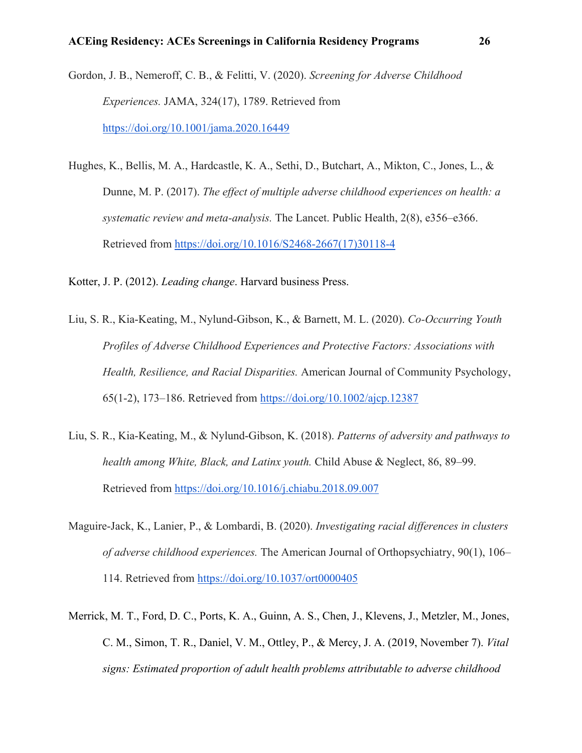- Gordon, J. B., Nemeroff, C. B., & Felitti, V. (2020). *Screening for Adverse Childhood Experiences.* JAMA, 324(17), 1789. Retrieved from <https://doi.org/10.1001/jama.2020.16449>
- Hughes, K., Bellis, M. A., Hardcastle, K. A., Sethi, D., Butchart, A., Mikton, C., Jones, L., & Dunne, M. P. (2017). *The effect of multiple adverse childhood experiences on health: a systematic review and meta-analysis.* The Lancet. Public Health, 2(8), e356–e366. Retrieved from [https://doi.org/10.1016/S2468-2667\(17\)30118-4](https://doi.org/10.1016/S2468-2667(17)30118-4)

Kotter, J. P. (2012). *Leading change*. Harvard business Press.

- Liu, S. R., Kia-Keating, M., Nylund-Gibson, K., & Barnett, M. L. (2020). *Co-Occurring Youth Profiles of Adverse Childhood Experiences and Protective Factors: Associations with Health, Resilience, and Racial Disparities.* American Journal of Community Psychology, 65(1-2), 173–186. Retrieved from [https://doi.org/10.1002/ajcp.12387](https://doi.org/10.1002/ajcp.12387.)
- Liu, S. R., Kia-Keating, M., & Nylund-Gibson, K. (2018). *Patterns of adversity and pathways to health among White, Black, and Latinx youth.* Child Abuse & Neglect, 86, 89–99. Retrieved from [https://doi.org/10.1016/j.chiabu.2018.09.007](https://doi.org/10.1016/j.chiabu.2018.09.007.)
- Maguire-Jack, K., Lanier, P., & Lombardi, B. (2020). *Investigating racial differences in clusters of adverse childhood experiences.* The American Journal of Orthopsychiatry, 90(1), 106– 114. Retrieved from [https://doi.org/10.1037/ort0000405](https://doi.org/10.1037/ort0000405.)
- Merrick, M. T., Ford, D. C., Ports, K. A., Guinn, A. S., Chen, J., Klevens, J., Metzler, M., Jones, C. M., Simon, T. R., Daniel, V. M., Ottley, P., & Mercy, J. A. (2019, November 7). *Vital signs: Estimated proportion of adult health problems attributable to adverse childhood*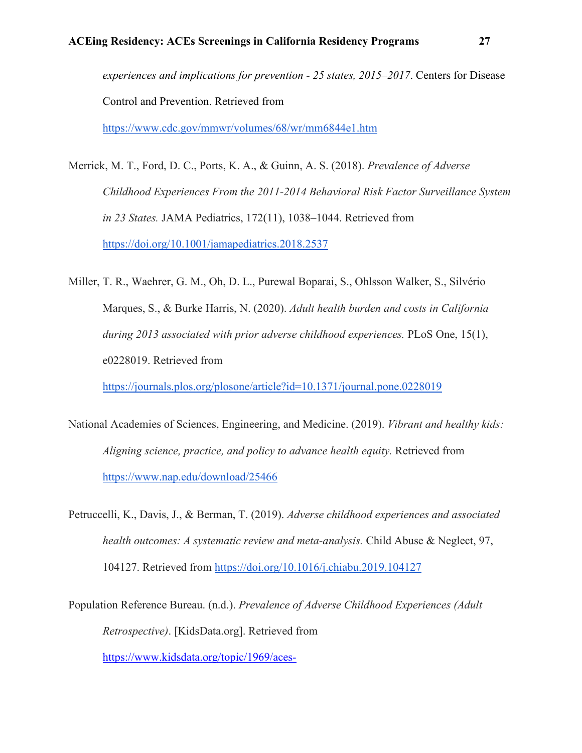*experiences and implications for prevention - 25 states, 2015–2017*. Centers for Disease Control and Prevention. Retrieved fro[m](https://www.cdc.gov/mmwr/volumes/68/wr/mm6844e1.htm)

<https://www.cdc.gov/mmwr/volumes/68/wr/mm6844e1.htm>

- Merrick, M. T., Ford, D. C., Ports, K. A., & Guinn, A. S. (2018). *Prevalence of Adverse Childhood Experiences From the 2011-2014 Behavioral Risk Factor Surveillance System in 23 States.* JAMA Pediatrics, 172(11), 1038–1044. Retrieved from [https://doi.org/10.1001/jamapediatrics.2018.2537](https://doi.org/10.1001/jamapediatrics.2018.2537.)
- Miller, T. R., Waehrer, G. M., Oh, D. L., Purewal Boparai, S., Ohlsson Walker, S., Silvério Marques, S., & Burke Harris, N. (2020). *Adult health burden and costs in California during 2013 associated with prior adverse childhood experiences.* PLoS One, 15(1), e0228019. Retrieved from

[https://journals.plos.org/plosone/article?id=10.1371/journal.pone.0228019](https://journals.plos.org/plosone/article?id=10.1371/journal.pone.0228019.)

- National Academies of Sciences, Engineering, and Medicine. (2019). *Vibrant and healthy kids: Aligning science, practice, and policy to advance health equity.* Retrieved from https://www.nap.edu/download/25466
- Petruccelli, K., Davis, J., & Berman, T. (2019). *Adverse childhood experiences and associated health outcomes: A systematic review and meta-analysis.* Child Abuse & Neglect, 97, 104127. Retrieved from<https://doi.org/10.1016/j.chiabu.2019.104127>
- Population Reference Bureau. (n.d.). *Prevalence of Adverse Childhood Experiences (Adult Retrospective)*. [KidsData.org]. Retrieved from

[https://www.kidsdata.org/topic/1969/aces-](https://www.kidsdata.org/topic/1969/aces-brfss/table#fmt=2486&loc=357,2&tf=133&ch=89,90,1273,1256,1274,1259&sortColumnId=0&sortType=asc)